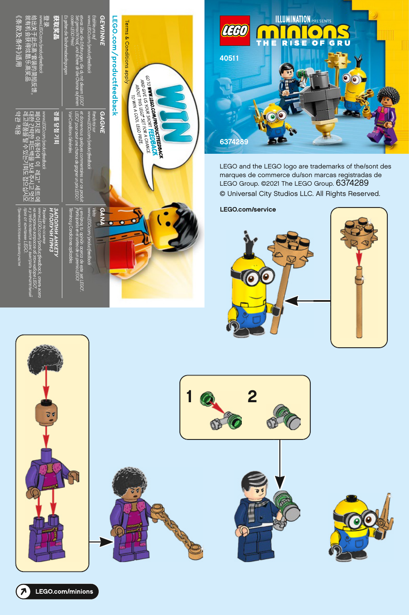



LEGO and the LEGO logo are trademarks of the/sont des marques de commerce du/son marcas registradas de LEGO Group. ©2021 The LEGO Group. 6374289 © Universal City Studios LLC. All Rights Reserved.

**LEGO.com/service**